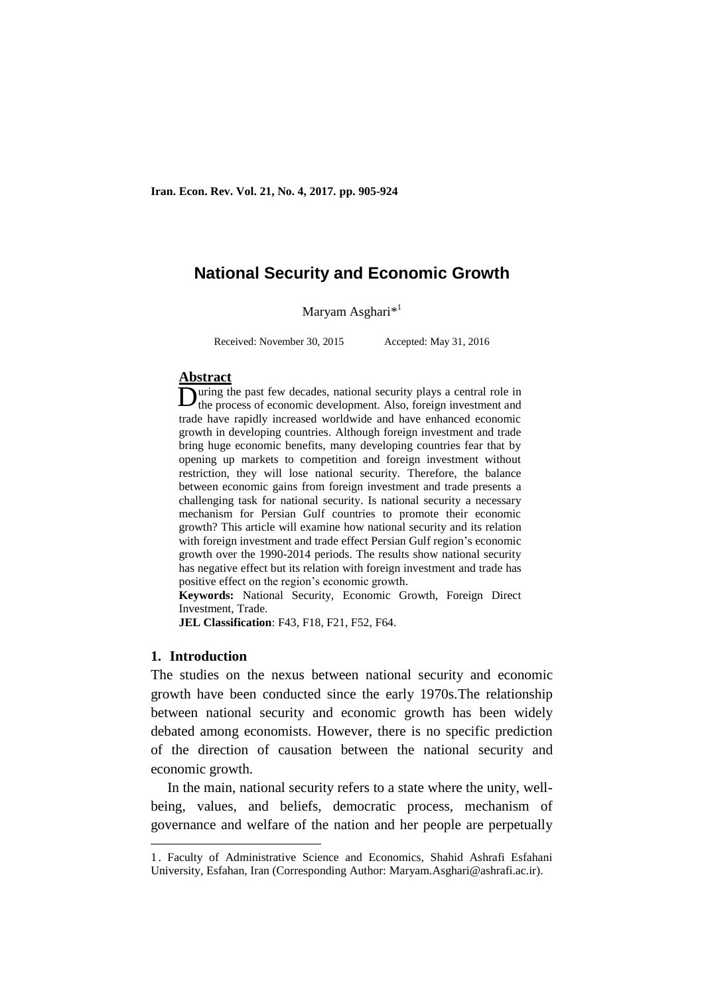**Iran. Econ. Rev. Vol. 21, No. 4, 2017. pp. 905-924**

# **National Security and Economic Growth**

Maryam Asghari $*$ <sup>1</sup>

Received: November 30, 2015 Accepted: May 31, 2016

#### **Abstract**

uring the past few decades, national security plays a central role in During the past few decades, national security plays a central role in the process of economic development. Also, foreign investment and trade have rapidly increased worldwide and have enhanced economic growth in developing countries. Although foreign investment and trade bring huge economic benefits, many developing countries fear that by opening up markets to competition and foreign investment without restriction, they will lose national security. Therefore, the balance between economic gains from foreign investment and trade presents a challenging task for national security. Is national security a necessary mechanism for Persian Gulf countries to promote their economic growth? This article will examine how national security and its relation with foreign investment and trade effect Persian Gulf region's economic growth over the 1990-2014 periods. The results show national security has negative effect but its relation with foreign investment and trade has positive effect on the region's economic growth.

**Keywords:** National Security, Economic Growth, Foreign Direct Investment, Trade.

**JEL Classification**: F43, F18, F21, F52, F64.

#### **1. Introduction**

-

The studies on the nexus between national security and economic growth have been conducted since the early 1970s.The relationship between national security and economic growth has been widely debated among economists. However, there is no specific prediction of the direction of causation between the national security and economic growth.

In the main, national security refers to a state where the unity, wellbeing, values, and beliefs, democratic process, mechanism of governance and welfare of the nation and her people are perpetually

<sup>1</sup> . Faculty of Administrative Science and Economics, Shahid Ashrafi Esfahani University, Esfahan, Iran (Corresponding Author: Maryam.Asghari@ashrafi.ac.ir).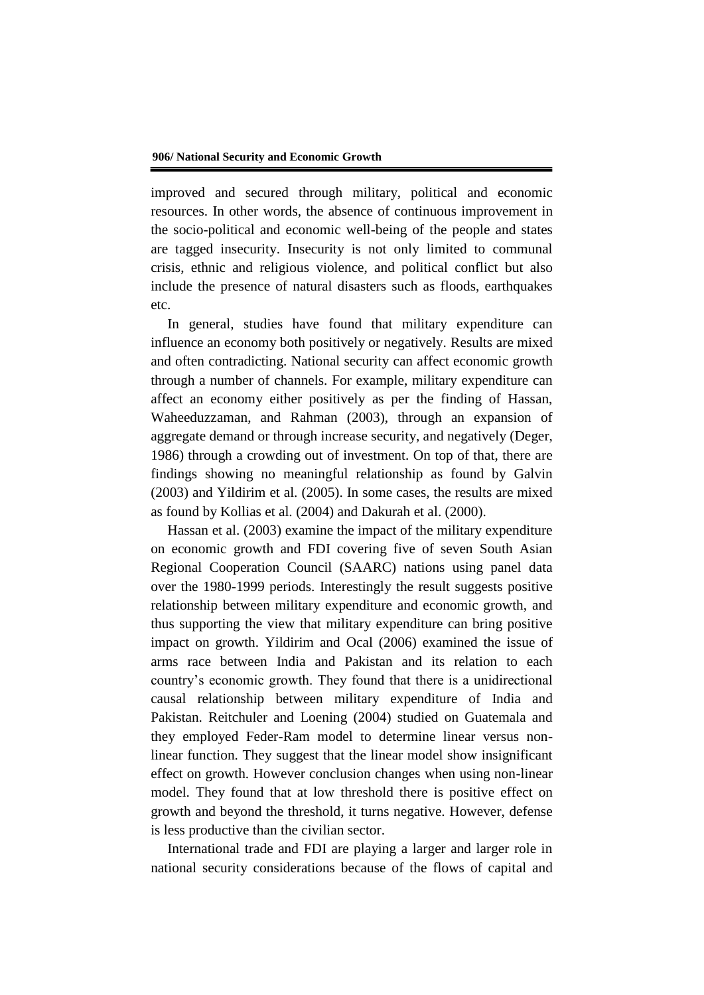improved and secured through military, political and economic resources. In other words, the absence of continuous improvement in the socio-political and economic well-being of the people and states are tagged insecurity. Insecurity is not only limited to communal crisis, ethnic and religious violence, and political conflict but also include the presence of natural disasters such as floods, earthquakes etc.

In general, studies have found that military expenditure can influence an economy both positively or negatively. Results are mixed and often contradicting. National security can affect economic growth through a number of channels. For example, military expenditure can affect an economy either positively as per the finding of Hassan, Waheeduzzaman, and Rahman (2003), through an expansion of aggregate demand or through increase security, and negatively (Deger, 1986) through a crowding out of investment. On top of that, there are findings showing no meaningful relationship as found by Galvin (2003) and Yildirim et al. (2005). In some cases, the results are mixed as found by Kollias et al. (2004) and Dakurah et al. (2000).

Hassan et al. (2003) examine the impact of the military expenditure on economic growth and FDI covering five of seven South Asian Regional Cooperation Council (SAARC) nations using panel data over the 1980-1999 periods. Interestingly the result suggests positive relationship between military expenditure and economic growth, and thus supporting the view that military expenditure can bring positive impact on growth. Yildirim and Ocal (2006) examined the issue of arms race between India and Pakistan and its relation to each country's economic growth. They found that there is a unidirectional causal relationship between military expenditure of India and Pakistan. Reitchuler and Loening (2004) studied on Guatemala and they employed Feder-Ram model to determine linear versus nonlinear function. They suggest that the linear model show insignificant effect on growth. However conclusion changes when using non-linear model. They found that at low threshold there is positive effect on growth and beyond the threshold, it turns negative. However, defense is less productive than the civilian sector.

International trade and FDI are playing a larger and larger role in national security considerations because of the flows of capital and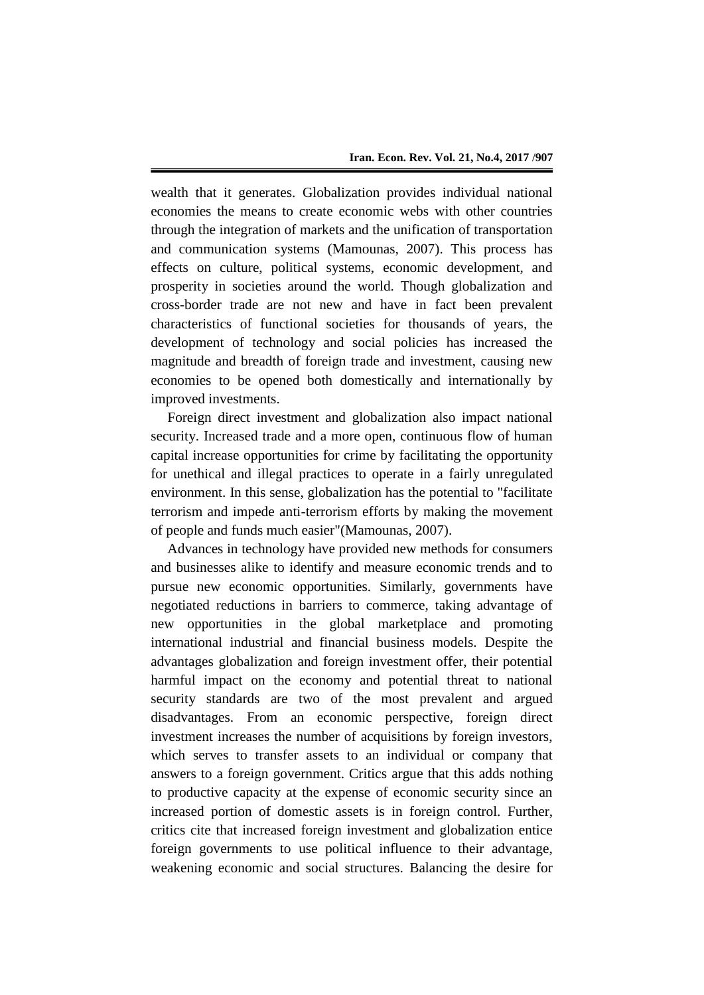wealth that it generates. Globalization provides individual national economies the means to create economic webs with other countries through the integration of markets and the unification of transportation and communication systems (Mamounas, 2007). This process has effects on culture, political systems, economic development, and prosperity in societies around the world. Though globalization and cross-border trade are not new and have in fact been prevalent characteristics of functional societies for thousands of years, the development of technology and social policies has increased the magnitude and breadth of foreign trade and investment, causing new economies to be opened both domestically and internationally by improved investments.

Foreign direct investment and globalization also impact national security. Increased trade and a more open, continuous flow of human capital increase opportunities for crime by facilitating the opportunity for unethical and illegal practices to operate in a fairly unregulated environment. In this sense, globalization has the potential to "facilitate terrorism and impede anti-terrorism efforts by making the movement of people and funds much easier"(Mamounas, 2007).

Advances in technology have provided new methods for consumers and businesses alike to identify and measure economic trends and to pursue new economic opportunities. Similarly, governments have negotiated reductions in barriers to commerce, taking advantage of new opportunities in the global marketplace and promoting international industrial and financial business models. Despite the advantages globalization and foreign investment offer, their potential harmful impact on the economy and potential threat to national security standards are two of the most prevalent and argued disadvantages. From an economic perspective, foreign direct investment increases the number of acquisitions by foreign investors, which serves to transfer assets to an individual or company that answers to a foreign government. Critics argue that this adds nothing to productive capacity at the expense of economic security since an increased portion of domestic assets is in foreign control. Further, critics cite that increased foreign investment and globalization entice foreign governments to use political influence to their advantage, weakening economic and social structures. Balancing the desire for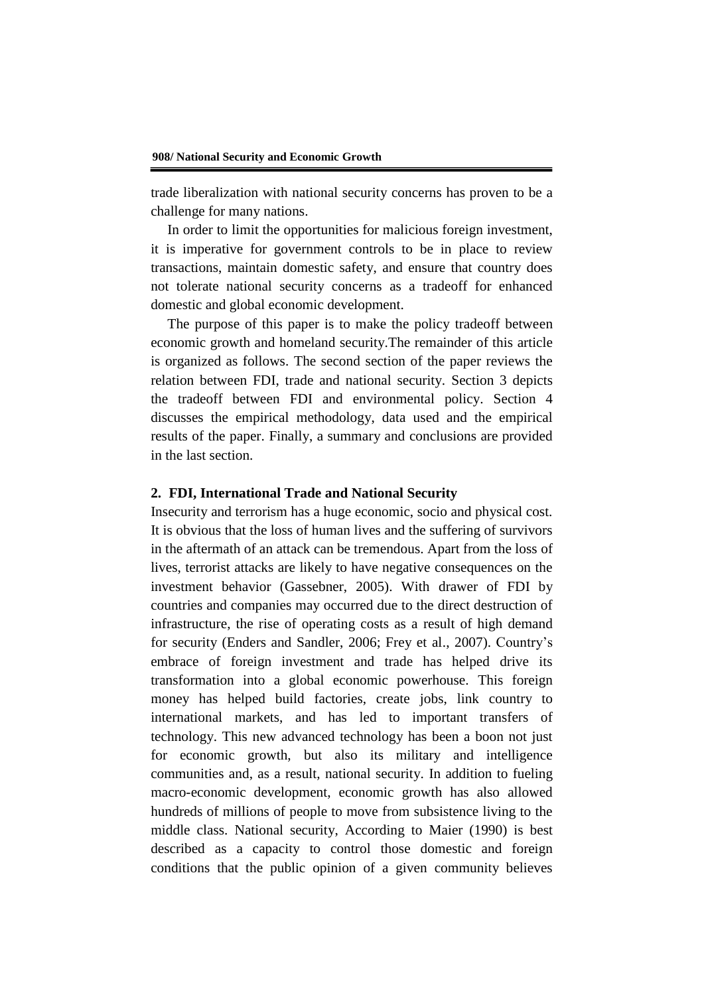trade liberalization with national security concerns has proven to be a challenge for many nations.

In order to limit the opportunities for malicious foreign investment, it is imperative for government controls to be in place to review transactions, maintain domestic safety, and ensure that country does not tolerate national security concerns as a tradeoff for enhanced domestic and global economic development.

The purpose of this paper is to make the policy tradeoff between economic growth and homeland security.The remainder of this article is organized as follows. The second section of the paper reviews the relation between FDI, trade and national security. Section 3 depicts the tradeoff between FDI and environmental policy. Section 4 discusses the empirical methodology, data used and the empirical results of the paper. Finally, a summary and conclusions are provided in the last section.

#### **2. FDI, International Trade and National Security**

Insecurity and terrorism has a huge economic, socio and physical cost. It is obvious that the loss of human lives and the suffering of survivors in the aftermath of an attack can be tremendous. Apart from the loss of lives, terrorist attacks are likely to have negative consequences on the investment behavior (Gassebner, 2005). With drawer of FDI by countries and companies may occurred due to the direct destruction of infrastructure, the rise of operating costs as a result of high demand for security (Enders and Sandler, 2006; Frey et al., 2007). Country's embrace of foreign investment and trade has helped drive its transformation into a global economic powerhouse. This foreign money has helped build factories, create jobs, link country to international markets, and has led to important transfers of technology. This new advanced technology has been a boon not just for economic growth, but also its military and intelligence communities and, as a result, national security. In addition to fueling macro-economic development, economic growth has also allowed hundreds of millions of people to move from subsistence living to the middle class. National security, According to Maier (1990) is best described as a capacity to control those domestic and foreign conditions that the public opinion of a given community believes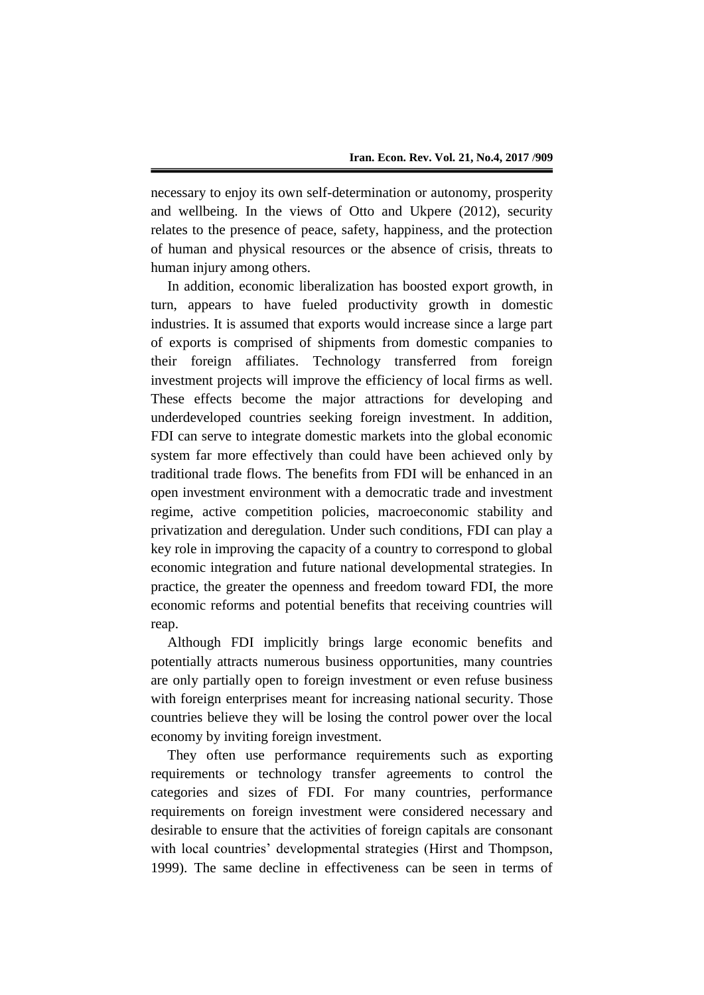necessary to enjoy its own self-determination or autonomy, prosperity and wellbeing. In the views of Otto and Ukpere (2012), security relates to the presence of peace, safety, happiness, and the protection of human and physical resources or the absence of crisis, threats to human injury among others.

In addition, economic liberalization has boosted export growth, in turn, appears to have fueled productivity growth in domestic industries. It is assumed that exports would increase since a large part of exports is comprised of shipments from domestic companies to their foreign affiliates. Technology transferred from foreign investment projects will improve the efficiency of local firms as well. These effects become the major attractions for developing and underdeveloped countries seeking foreign investment. In addition, FDI can serve to integrate domestic markets into the global economic system far more effectively than could have been achieved only by traditional trade flows. The benefits from FDI will be enhanced in an open investment environment with a democratic trade and investment regime, active competition policies, macroeconomic stability and privatization and deregulation. Under such conditions, FDI can play a key role in improving the capacity of a country to correspond to global economic integration and future national developmental strategies. In practice, the greater the openness and freedom toward FDI, the more economic reforms and potential benefits that receiving countries will reap.

Although FDI implicitly brings large economic benefits and potentially attracts numerous business opportunities, many countries are only partially open to foreign investment or even refuse business with foreign enterprises meant for increasing national security. Those countries believe they will be losing the control power over the local economy by inviting foreign investment.

They often use performance requirements such as exporting requirements or technology transfer agreements to control the categories and sizes of FDI. For many countries, performance requirements on foreign investment were considered necessary and desirable to ensure that the activities of foreign capitals are consonant with local countries' developmental strategies (Hirst and Thompson, 1999). The same decline in effectiveness can be seen in terms of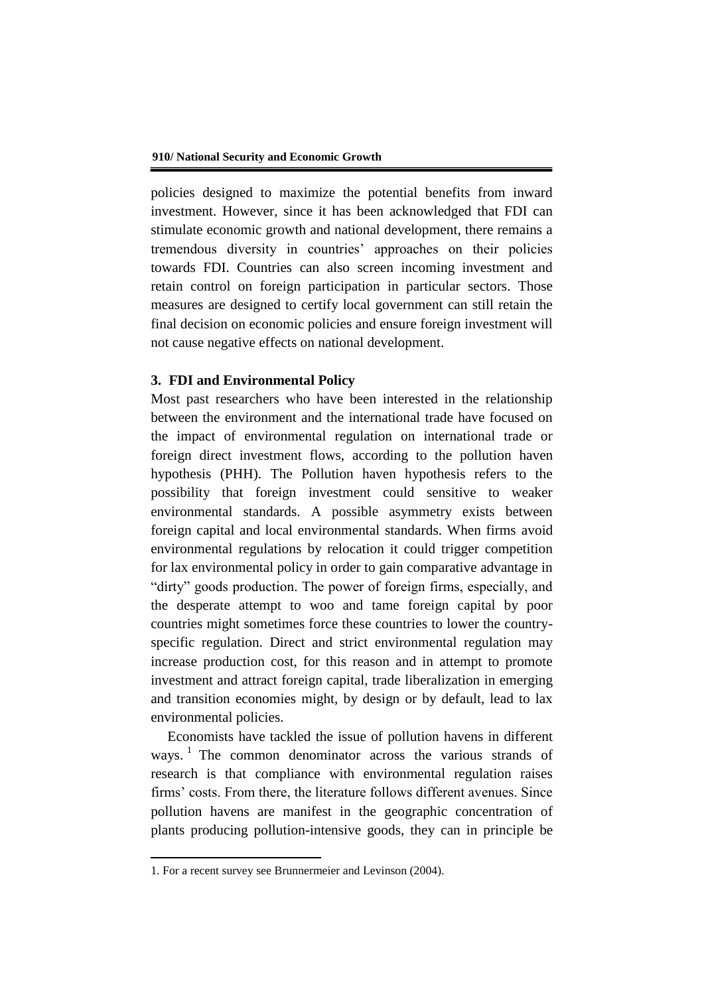policies designed to maximize the potential benefits from inward investment. However, since it has been acknowledged that FDI can stimulate economic growth and national development, there remains a tremendous diversity in countries' approaches on their policies towards FDI. Countries can also screen incoming investment and retain control on foreign participation in particular sectors. Those measures are designed to certify local government can still retain the final decision on economic policies and ensure foreign investment will not cause negative effects on national development.

## **3. FDI and Environmental Policy**

Most past researchers who have been interested in the relationship between the environment and the international trade have focused on the impact of environmental regulation on international trade or foreign direct investment flows, according to the pollution haven hypothesis (PHH). The Pollution haven hypothesis refers to the possibility that foreign investment could sensitive to weaker environmental standards. A possible asymmetry exists between foreign capital and local environmental standards. When firms avoid environmental regulations by relocation it could trigger competition for lax environmental policy in order to gain comparative advantage in "dirty" goods production. The power of foreign firms, especially, and the desperate attempt to woo and tame foreign capital by poor countries might sometimes force these countries to lower the countryspecific regulation. Direct and strict environmental regulation may increase production cost, for this reason and in attempt to promote investment and attract foreign capital, trade liberalization in emerging and transition economies might, by design or by default, lead to lax environmental policies.

Economists have tackled the issue of pollution havens in different ways.<sup>1</sup> The common denominator across the various strands of research is that compliance with environmental regulation raises firms' costs. From there, the literature follows different avenues. Since pollution havens are manifest in the geographic concentration of plants producing pollution-intensive goods, they can in principle be

1

<sup>1.</sup> For a recent survey see Brunnermeier and Levinson (2004).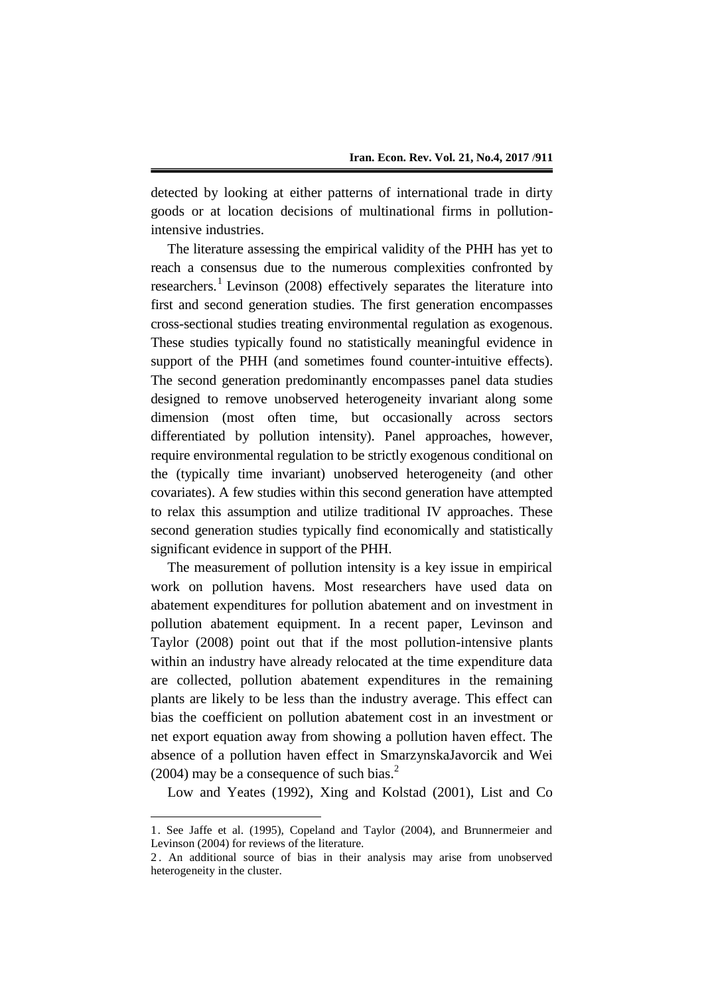detected by looking at either patterns of international trade in dirty goods or at location decisions of multinational firms in pollutionintensive industries.

The literature assessing the empirical validity of the PHH has yet to reach a consensus due to the numerous complexities confronted by researchers.<sup>1</sup> Levinson (2008) effectively separates the literature into first and second generation studies. The first generation encompasses cross-sectional studies treating environmental regulation as exogenous. These studies typically found no statistically meaningful evidence in support of the PHH (and sometimes found counter-intuitive effects). The second generation predominantly encompasses panel data studies designed to remove unobserved heterogeneity invariant along some dimension (most often time, but occasionally across sectors differentiated by pollution intensity). Panel approaches, however, require environmental regulation to be strictly exogenous conditional on the (typically time invariant) unobserved heterogeneity (and other covariates). A few studies within this second generation have attempted to relax this assumption and utilize traditional IV approaches. These second generation studies typically find economically and statistically significant evidence in support of the PHH.

The measurement of pollution intensity is a key issue in empirical work on pollution havens. Most researchers have used data on abatement expenditures for pollution abatement and on investment in pollution abatement equipment. In a recent paper, Levinson and Taylor (2008) point out that if the most pollution-intensive plants within an industry have already relocated at the time expenditure data are collected, pollution abatement expenditures in the remaining plants are likely to be less than the industry average. This effect can bias the coefficient on pollution abatement cost in an investment or net export equation away from showing a pollution haven effect. The absence of a pollution haven effect in SmarzynskaJavorcik and Wei  $(2004)$  may be a consequence of such bias.<sup>2</sup>

Low and Yeates (1992), Xing and Kolstad (2001), List and Co

1

<sup>1.</sup> See Jaffe et al. (1995), Copeland and Taylor (2004), and Brunnermeier and Levinson (2004) for reviews of the literature.

<sup>2</sup> . An additional source of bias in their analysis may arise from unobserved heterogeneity in the cluster.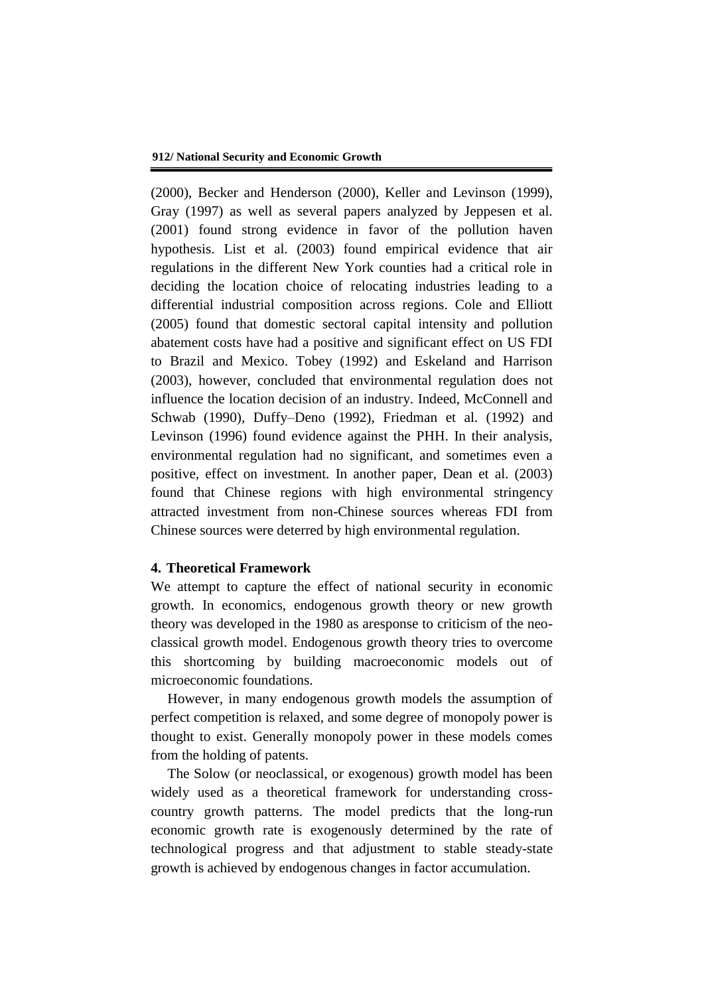(2000), Becker and Henderson (2000), Keller and Levinson (1999), Gray (1997) as well as several papers analyzed by Jeppesen et al. (2001) found strong evidence in favor of the pollution haven hypothesis. List et al. (2003) found empirical evidence that air regulations in the different New York counties had a critical role in deciding the location choice of relocating industries leading to a differential industrial composition across regions. Cole and Elliott (2005) found that domestic sectoral capital intensity and pollution abatement costs have had a positive and significant effect on US FDI to Brazil and Mexico. Tobey (1992) and Eskeland and Harrison (2003), however, concluded that environmental regulation does not influence the location decision of an industry. Indeed, McConnell and Schwab (1990), Duffy–Deno (1992), Friedman et al. (1992) and Levinson (1996) found evidence against the PHH. In their analysis, environmental regulation had no significant, and sometimes even a positive, effect on investment. In another paper, Dean et al. (2003) found that Chinese regions with high environmental stringency attracted investment from non-Chinese sources whereas FDI from Chinese sources were deterred by high environmental regulation.

#### **4. Theoretical Framework**

We attempt to capture the effect of national security in economic growth. In economics, endogenous growth theory or new growth theory was developed in the 1980 as aresponse to criticism of the neoclassical growth model. Endogenous growth theory tries to overcome this shortcoming by building macroeconomic models out of microeconomic foundations.

However, in many endogenous growth models the assumption of perfect competition is relaxed, and some degree of monopoly power is thought to exist. Generally monopoly power in these models comes from the holding of patents.

The Solow (or neoclassical, or exogenous) growth model has been widely used as a theoretical framework for understanding crosscountry growth patterns. The model predicts that the long-run economic growth rate is exogenously determined by the rate of technological progress and that adjustment to stable steady-state growth is achieved by endogenous changes in factor accumulation.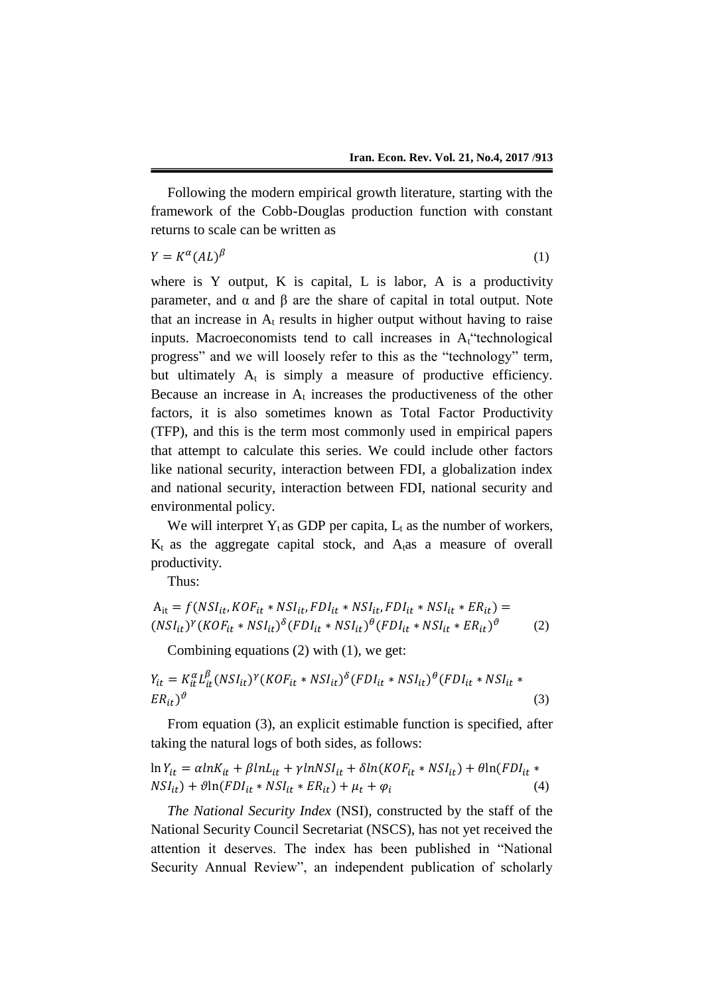Following the modern empirical growth literature, starting with the framework of the Cobb-Douglas production function with constant returns to scale can be written as

 $Y = K^{\alpha}(AL)$  $\beta$  (1)

where is Y output, K is capital, L is labor, A is a productivity parameter, and α and β are the share of capital in total output. Note that an increase in  $A_t$  results in higher output without having to raise inputs. Macroeconomists tend to call increases in  $A_t$  technological progress" and we will loosely refer to this as the "technology" term, but ultimately  $A_t$  is simply a measure of productive efficiency. Because an increase in  $A_t$  increases the productiveness of the other factors, it is also sometimes known as Total Factor Productivity (TFP), and this is the term most commonly used in empirical papers that attempt to calculate this series. We could include other factors like national security, interaction between FDI, a globalization index and national security, interaction between FDI, national security and environmental policy.

We will interpret  $Y_t$  as GDP per capita,  $L_t$  as the number of workers,  $K_t$  as the aggregate capital stock, and  $A_t$ as a measure of overall productivity.

Thus:

$$
A_{it} = f(NSI_{it}, KOF_{it} * NSI_{it}, FDI_{it} * NSI_{it}, FDI_{it} * NSI_{it} * ES_{it}) =
$$
  

$$
(NSI_{it})^{\gamma} (KOF_{it} * NSI_{it})^{\delta} (FDI_{it} * NSI_{it})^{\theta} (FDI_{it} * NSI_{it} * ES_{it})^{\theta}
$$
 (2)

Combining equations (2) with (1), we get:

$$
Y_{it} = K_{it}^{\alpha} L_{it}^{\beta} (NSI_{it})^{\gamma} (KOF_{it} * NSI_{it})^{\delta} (FDI_{it} * NSI_{it})^{\theta} (FDI_{it} * NSI_{it} * NSI_{it} *
$$
  
\n
$$
ER_{it})^{\vartheta}
$$
\n(3)

From equation (3), an explicit estimable function is specified, after taking the natural logs of both sides, as follows:

$$
\ln Y_{it} = \alpha \ln K_{it} + \beta \ln L_{it} + \gamma \ln NSI_{it} + \delta \ln (KOF_{it} * NSI_{it}) + \theta \ln (FDI_{it} * NSI_{it}) + \theta \ln (FDI_{it} * NSI_{it} * ESI_{it} + \mu_t + \varphi_i)
$$
\n(4)

*The National Security Index* (NSI), constructed by the staff of the National Security Council Secretariat (NSCS), has not yet received the attention it deserves. The index has been published in "National Security Annual Review", an independent publication of scholarly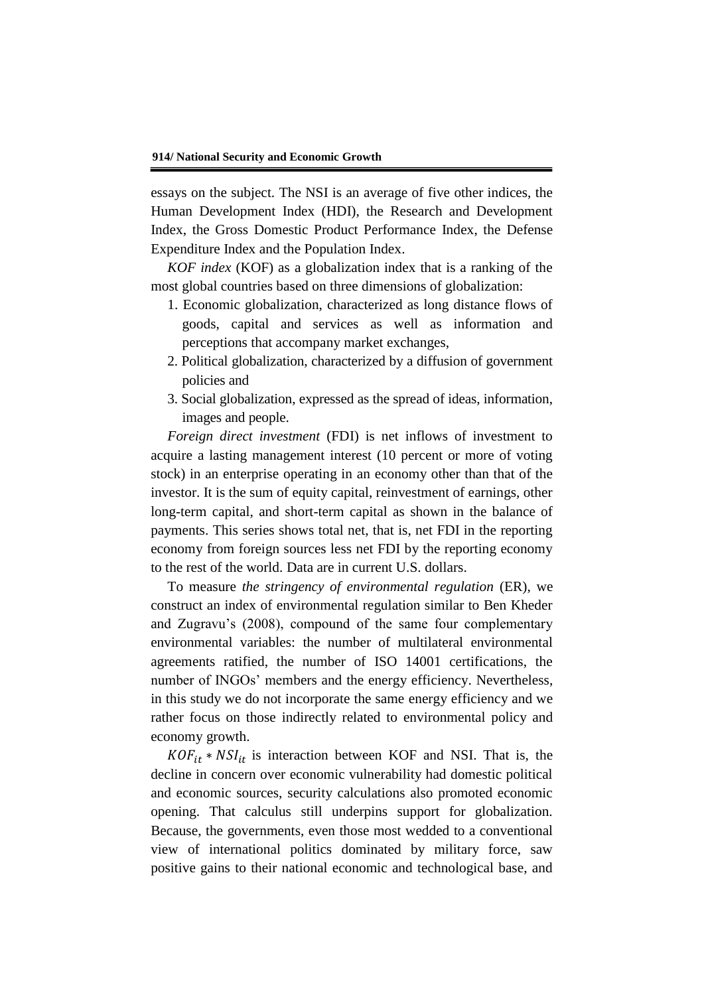essays on the subject. The NSI is an average of five other indices, the Human Development Index (HDI), the Research and Development Index, the Gross Domestic Product Performance Index, the Defense Expenditure Index and the Population Index.

*KOF index* (KOF) as a globalization index that is a ranking of the most global countries based on three dimensions of globalization:

- 1. Economic globalization, characterized as long distance flows of goods, capital and services as well as information and perceptions that accompany market exchanges,
- 2. Political globalization, characterized by a diffusion of government policies and
- 3. Social globalization, expressed as the spread of ideas, information, images and people.

*Foreign direct investment* (FDI) is net inflows of investment to acquire a lasting management interest (10 percent or more of voting stock) in an enterprise operating in an economy other than that of the investor. It is the sum of equity capital, reinvestment of earnings, other long-term capital, and short-term capital as shown in the balance of payments. This series shows total net, that is, net FDI in the reporting economy from foreign sources less net FDI by the reporting economy to the rest of the world. Data are in current U.S. dollars.

To measure *the stringency of environmental regulation* (ER), we construct an index of environmental regulation similar to Ben Kheder and Zugravu's (2008), compound of the same four complementary environmental variables: the number of multilateral environmental agreements ratified, the number of ISO 14001 certifications, the number of INGOs' members and the energy efficiency. Nevertheless, in this study we do not incorporate the same energy efficiency and we rather focus on those indirectly related to environmental policy and economy growth.

 $KOF_{it} * NSI_{it}$  is interaction between KOF and NSI. That is, the decline in concern over economic vulnerability had domestic political and economic sources, security calculations also promoted economic opening. That calculus still underpins support for globalization. Because, the governments, even those most wedded to a conventional view of international politics dominated by military force, saw positive gains to their national economic and technological base, and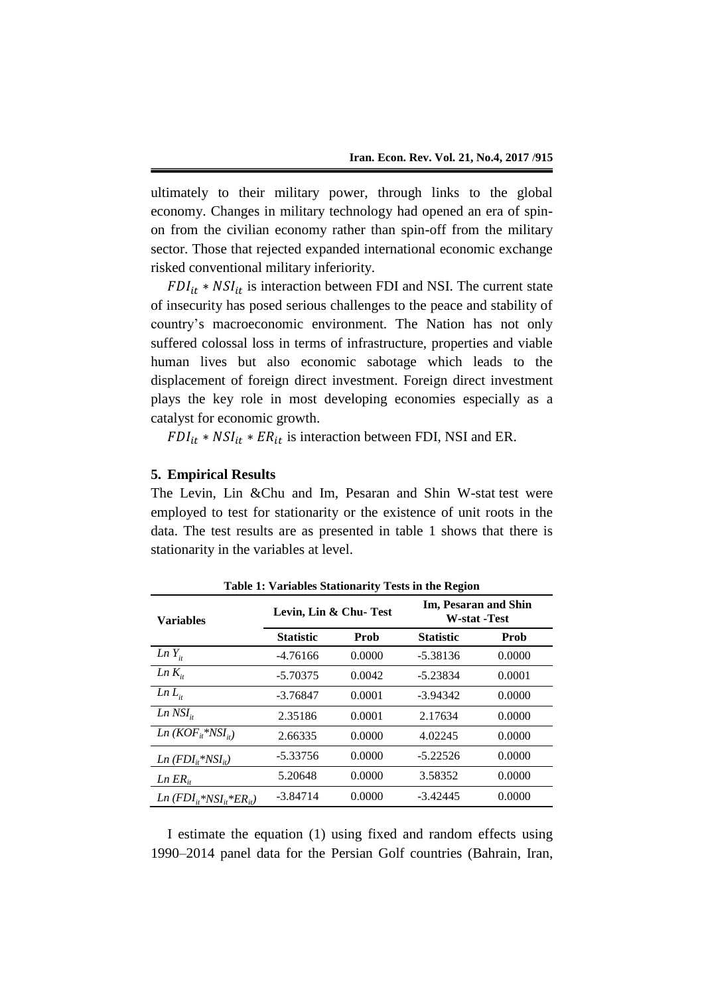ultimately to their military power, through links to the global economy. Changes in military technology had opened an era of spinon from the civilian economy rather than spin-off from the military sector. Those that rejected expanded international economic exchange risked conventional military inferiority.

 $FDI_{it} * NSI_{it}$  is interaction between FDI and NSI. The current state of insecurity has posed serious challenges to the peace and stability of country's macroeconomic environment. The Nation has not only suffered colossal loss in terms of infrastructure, properties and viable human lives but also economic sabotage which leads to the displacement of foreign direct investment. Foreign direct investment plays the key role in most developing economies especially as a catalyst for economic growth.

 $FDI_{it} * NSI_{it} * ER_{it}$  is interaction between FDI, NSI and ER.

## **5. Empirical Results**

The Levin, Lin &Chu and Im, Pesaran and Shin W-stat test were employed to test for stationarity or the existence of unit roots in the data. The test results are as presented in table 1 shows that there is stationarity in the variables at level.

| Table 1: Variables Stationarity Tests in the Region |                       |        |                                             |        |  |  |  |
|-----------------------------------------------------|-----------------------|--------|---------------------------------------------|--------|--|--|--|
| <b>Variables</b>                                    | Levin, Lin & Chu-Test |        | Im, Pesaran and Shin<br><b>W-stat -Test</b> |        |  |  |  |
|                                                     | <b>Statistic</b>      | Prob   | <b>Statistic</b>                            | Prob   |  |  |  |
| $Ln Y_{it}$                                         | $-4.76166$            | 0.0000 | $-5.38136$                                  | 0.0000 |  |  |  |
| $Ln K_{i}$                                          | $-5.70375$            | 0.0042 | $-5.23834$                                  | 0.0001 |  |  |  |
| $Ln L_{ii}$                                         | $-3.76847$            | 0.0001 | $-3.94342$                                  | 0.0000 |  |  |  |
| $Ln$ NSI <sub>it</sub>                              | 2.35186               | 0.0001 | 2.17634                                     | 0.0000 |  |  |  |
| $Ln(KOF_{it}*NSI_{it})$                             | 2.66335               | 0.0000 | 4.02245                                     | 0.0000 |  |  |  |
| $Ln(FDI_{it}*NSI_{it})$                             | $-5.33756$            | 0.0000 | $-5.22526$                                  | 0.0000 |  |  |  |
| $Ln ER_{it}$                                        | 5.20648               | 0.0000 | 3.58352                                     | 0.0000 |  |  |  |
| $Ln(FDI_{i*}^*NSI_{i*}^*ER_{i})$                    | $-3.84714$            | 0.0000 | $-3.42445$                                  | 0.0000 |  |  |  |

**Table 1: Variables Stationarity Tests in the Region**

I estimate the equation (1) using fixed and random effects using 1990–2014 panel data for the Persian Golf countries (Bahrain, Iran,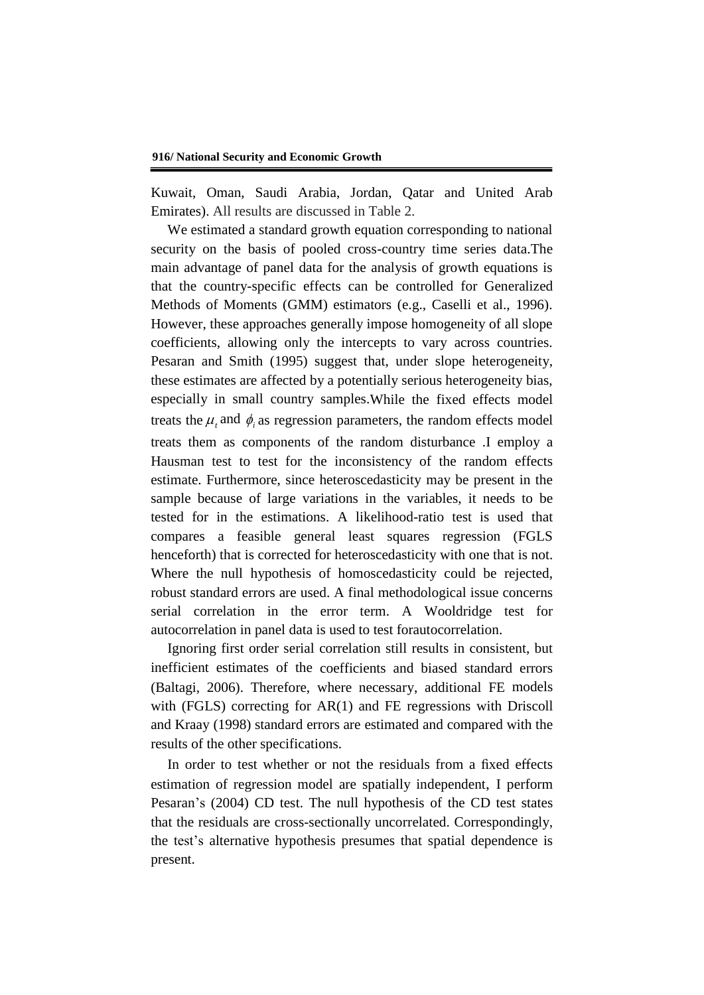Kuwait, Oman, Saudi Arabia, Jordan, Qatar and United Arab Emirates). All results are discussed in Table 2.

We estimated a standard growth equation corresponding to national security on the basis of pooled cross-country time series data.The main advantage of panel data for the analysis of growth equations is that the country-specific effects can be controlled for Generalized Methods of Moments (GMM) estimators (e.g., Caselli et al., 1996). However, these approaches generally impose homogeneity of all slope coefficients, allowing only the intercepts to vary across countries. Pesaran and Smith (1995) suggest that, under slope heterogeneity, these estimates are affected by a potentially serious heterogeneity bias, especially in small country samples.While the fixed effects model treats the  $\mu$ <sub>*t*</sub> and  $\phi$ <sub>*i*</sub> as regression parameters, the random effects model treats them as components of the random disturbance .I employ a Hausman test to test for the inconsistency of the random effects estimate. Furthermore, since heteroscedasticity may be present in the sample because of large variations in the variables, it needs to be tested for in the estimations. A likelihood-ratio test is used that compares a feasible general least squares regression (FGLS henceforth) that is corrected for heteroscedasticity with one that is not. Where the null hypothesis of homoscedasticity could be rejected, robust standard errors are used. A final methodological issue concerns serial correlation in the error term. A Wooldridge test for autocorrelation in panel data is used to test forautocorrelation.

Ignoring first order serial correlation still results in consistent, but inefficient estimates of the coefficients and biased standard errors (Baltagi, 2006). Therefore, where necessary, additional FE models with (FGLS) correcting for AR(1) and FE regressions with Driscoll and Kraay (1998) standard errors are estimated and compared with the results of the other specifications.

In order to test whether or not the residuals from a fixed effects estimation of regression model are spatially independent, I perform Pesaran's (2004) CD test. The null hypothesis of the CD test states that the residuals are cross-sectionally uncorrelated. Correspondingly, the test's alternative hypothesis presumes that spatial dependence is present.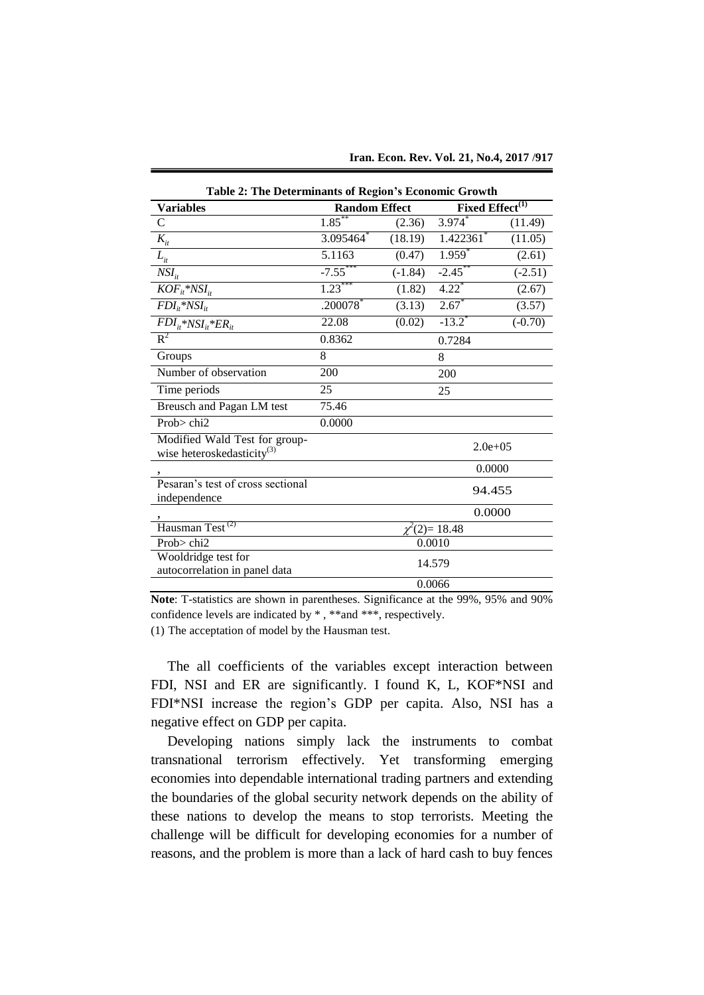| <b>Table 2: The Determinants of Region's Economic Growth</b>            |                        |           |                             |           |  |  |  |  |
|-------------------------------------------------------------------------|------------------------|-----------|-----------------------------|-----------|--|--|--|--|
| <b>Variables</b>                                                        | <b>Random Effect</b>   |           | Fixed Effect <sup>(1)</sup> |           |  |  |  |  |
| $\mathsf{C}$                                                            | $1.85***$              | (2.36)    | 3.974                       | (11.49)   |  |  |  |  |
| $K_{it}$                                                                | 3.095464               | (18.19)   | 1.422361*                   | (11.05)   |  |  |  |  |
| $L_{it}$                                                                | 5.1163                 | (0.47)    | $1.959^{*}$                 | (2.61)    |  |  |  |  |
| $NSI_{it}$                                                              | $-7.55***$             | $(-1.84)$ | $-2.45$ **                  | $(-2.51)$ |  |  |  |  |
| $KOF_{it}$ *NSI <sub>it</sub>                                           | $1.23***$              | (1.82)    | $4.22$ <sup>*</sup>         | (2.67)    |  |  |  |  |
| $FDI_{it}$ *NSI <sub>it</sub>                                           | $.200078$ <sup>*</sup> | (3.13)    | $2.67*$                     | (3.57)    |  |  |  |  |
| $FDI_{it}$ *NSI <sub>it</sub> *ER <sub>it</sub>                         | 22.08                  | (0.02)    | $-13.2$ <sup>*</sup>        | $(-0.70)$ |  |  |  |  |
| $R^2$                                                                   | 0.8362                 |           | 0.7284                      |           |  |  |  |  |
| Groups                                                                  | 8                      |           | 8                           |           |  |  |  |  |
| Number of observation                                                   | 200                    |           | 200                         |           |  |  |  |  |
| Time periods                                                            | 25                     |           | 25                          |           |  |  |  |  |
| Breusch and Pagan LM test                                               | 75.46                  |           |                             |           |  |  |  |  |
| Prob> chi2                                                              | 0.0000                 |           |                             |           |  |  |  |  |
| Modified Wald Test for group-<br>wise heteroskedasticity <sup>(3)</sup> |                        |           | $2.0e + 0.5$                |           |  |  |  |  |
|                                                                         |                        |           | 0.0000                      |           |  |  |  |  |
| Pesaran's test of cross sectional<br>independence                       |                        |           | 94.455                      |           |  |  |  |  |
|                                                                         |                        |           | 0.0000                      |           |  |  |  |  |
| Hausman Test <sup>(2)</sup>                                             | $2(2)=18.48$           |           |                             |           |  |  |  |  |
| Prob> chi2                                                              | 0.0010                 |           |                             |           |  |  |  |  |
| Wooldridge test for                                                     | 14.579                 |           |                             |           |  |  |  |  |
| autocorrelation in panel data                                           |                        |           |                             |           |  |  |  |  |
|                                                                         |                        |           | 0.0066                      |           |  |  |  |  |

**Note**: T-statistics are shown in parentheses. Significance at the 99%, 95% and 90% confidence levels are indicated by \* , \*\*and \*\*\*, respectively.

(1) The acceptation of model by the Hausman test.

The all coefficients of the variables except interaction between FDI, NSI and ER are significantly. I found K, L, KOF\*NSI and FDI\*NSI increase the region's GDP per capita. Also, NSI has a negative effect on GDP per capita.

Developing nations simply lack the instruments to combat transnational terrorism effectively. Yet transforming emerging economies into dependable international trading partners and extending the boundaries of the global security network depends on the ability of these nations to develop the means to stop terrorists. Meeting the challenge will be difficult for developing economies for a number of reasons, and the problem is more than a lack of hard cash to buy fences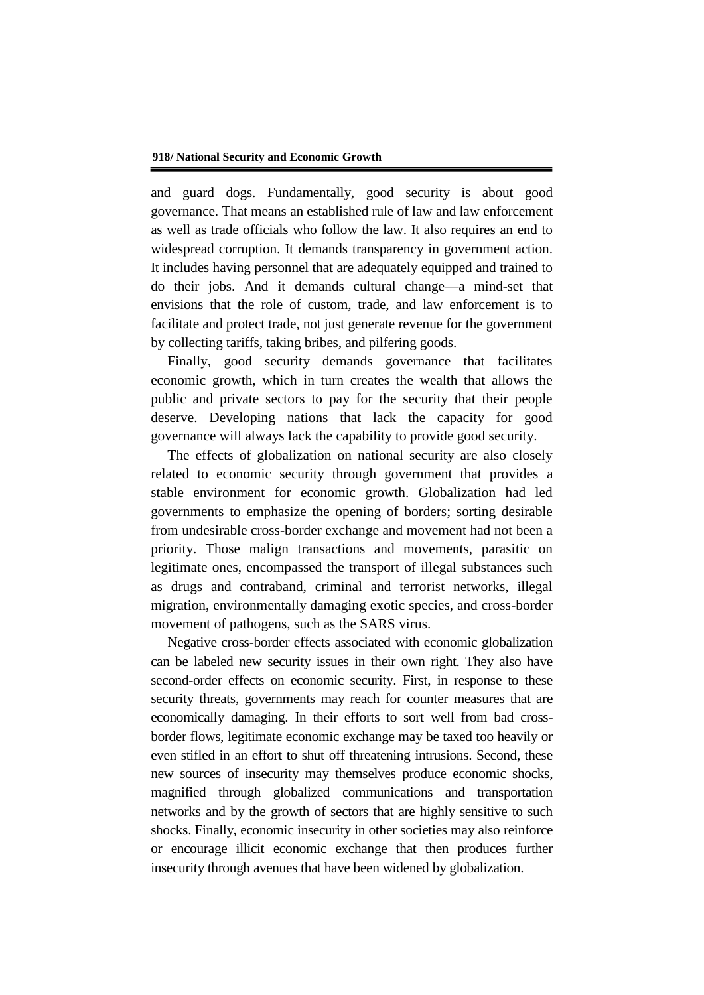and guard dogs. Fundamentally, good security is about good governance. That means an established rule of law and law enforcement as well as trade officials who follow the law. It also requires an end to widespread corruption. It demands transparency in government action. It includes having personnel that are adequately equipped and trained to do their jobs. And it demands cultural change—a mind-set that envisions that the role of custom, trade, and law enforcement is to facilitate and protect trade, not just generate revenue for the government by collecting tariffs, taking bribes, and pilfering goods.

Finally, good security demands governance that facilitates economic growth, which in turn creates the wealth that allows the public and private sectors to pay for the security that their people deserve. Developing nations that lack the capacity for good governance will always lack the capability to provide good security.

The effects of globalization on national security are also closely related to economic security through government that provides a stable environment for economic growth. Globalization had led governments to emphasize the opening of borders; sorting desirable from undesirable cross-border exchange and movement had not been a priority. Those malign transactions and movements, parasitic on legitimate ones, encompassed the transport of illegal substances such as drugs and contraband, criminal and terrorist networks, illegal migration, environmentally damaging exotic species, and cross-border movement of pathogens, such as the SARS virus.

Negative cross-border effects associated with economic globalization can be labeled new security issues in their own right. They also have second-order effects on economic security. First, in response to these security threats, governments may reach for counter measures that are economically damaging. In their efforts to sort well from bad crossborder flows, legitimate economic exchange may be taxed too heavily or even stifled in an effort to shut off threatening intrusions. Second, these new sources of insecurity may themselves produce economic shocks, magnified through globalized communications and transportation networks and by the growth of sectors that are highly sensitive to such shocks. Finally, economic insecurity in other societies may also reinforce or encourage illicit economic exchange that then produces further insecurity through avenues that have been widened by globalization.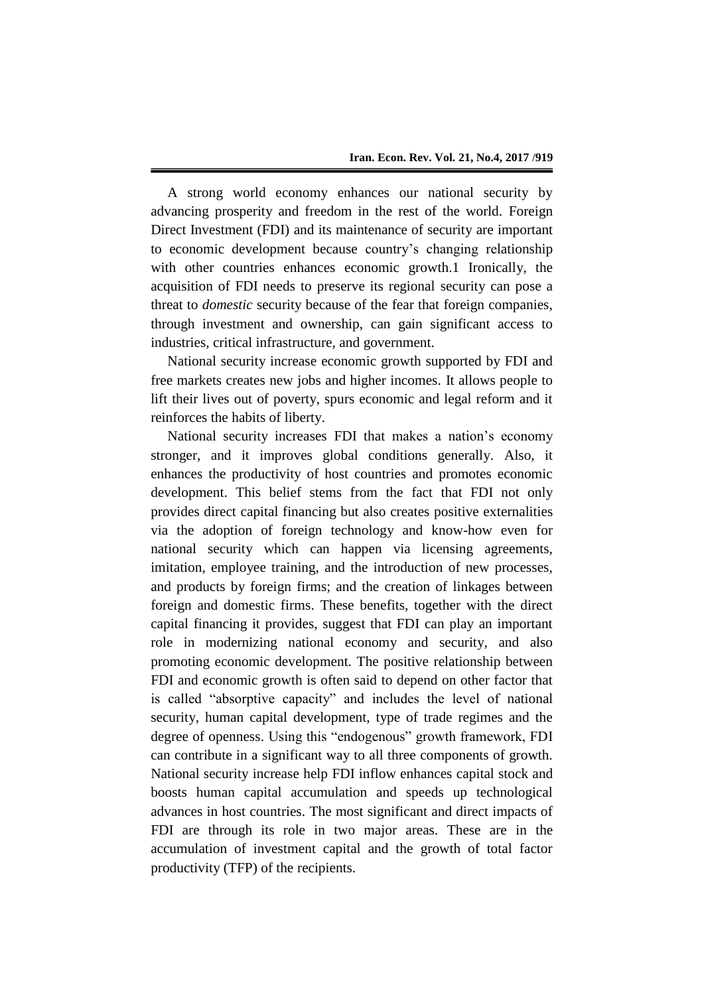A strong world economy enhances our national security by advancing prosperity and freedom in the rest of the world. Foreign Direct Investment (FDI) and its maintenance of security are important to economic development because country's changing relationship with other countries enhances economic growth.1 Ironically, the acquisition of FDI needs to preserve its regional security can pose a threat to *domestic* security because of the fear that foreign companies, through investment and ownership, can gain significant access to industries, critical infrastructure, and government.

National security increase economic growth supported by FDI and free markets creates new jobs and higher incomes. It allows people to lift their lives out of poverty, spurs economic and legal reform and it reinforces the habits of liberty.

National security increases FDI that makes a nation's economy stronger, and it improves global conditions generally. Also, it enhances the productivity of host countries and promotes economic development. This belief stems from the fact that FDI not only provides direct capital financing but also creates positive externalities via the adoption of foreign technology and know-how even for national security which can happen via licensing agreements, imitation, employee training, and the introduction of new processes, and products by foreign firms; and the creation of linkages between foreign and domestic firms. These benefits, together with the direct capital financing it provides, suggest that FDI can play an important role in modernizing national economy and security, and also promoting economic development. The positive relationship between FDI and economic growth is often said to depend on other factor that is called "absorptive capacity" and includes the level of national security, human capital development, type of trade regimes and the degree of openness. Using this "endogenous" growth framework, FDI can contribute in a significant way to all three components of growth. National security increase help FDI inflow enhances capital stock and boosts human capital accumulation and speeds up technological advances in host countries. The most significant and direct impacts of FDI are through its role in two major areas. These are in the accumulation of investment capital and the growth of total factor productivity (TFP) of the recipients.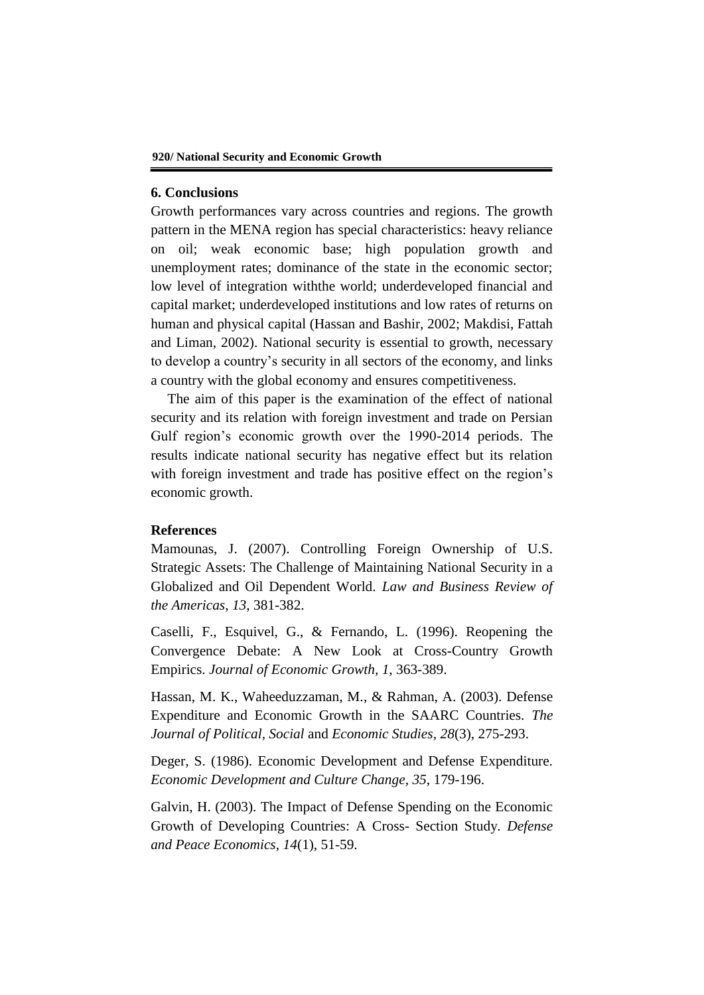## **6. Conclusions**

Growth performances vary across countries and regions. The growth pattern in the MENA region has special characteristics: heavy reliance on oil; weak economic base; high population growth and unemployment rates; dominance of the state in the economic sector; low level of integration withthe world; underdeveloped financial and capital market; underdeveloped institutions and low rates of returns on human and physical capital (Hassan and Bashir, 2002; Makdisi, Fattah and Liman, 2002). National security is essential to growth, necessary to develop a country's security in all sectors of the economy, and links a country with the global economy and ensures competitiveness.

The aim of this paper is the examination of the effect of national security and its relation with foreign investment and trade on Persian Gulf region's economic growth over the 1990-2014 periods. The results indicate national security has negative effect but its relation with foreign investment and trade has positive effect on the region's economic growth.

## **References**

Mamounas, J. (2007). Controlling Foreign Ownership of U.S. Strategic Assets: The Challenge of Maintaining National Security in a Globalized and Oil Dependent World. *Law and Business Review of the Americas*, *13*, 381-382.

Caselli, F., Esquivel, G., & Fernando, L. (1996). Reopening the Convergence Debate: A New Look at Cross-Country Growth Empirics. *Journal of Economic Growth, 1*, 363-389.

Hassan, M. K., Waheeduzzaman, M., & Rahman, A. (2003). Defense Expenditure and Economic Growth in the SAARC Countries. *The Journal of Political, Social* and *Economic Studies*, *28*(3), 275-293.

Deger, S. (1986). Economic Development and Defense Expenditure. *Economic Development and Culture Change*, *35*, 179-196.

Galvin, H. (2003). The Impact of Defense Spending on the Economic Growth of Developing Countries: A Cross- Section Study. *Defense and Peace Economics*, *14*(1), 51-59.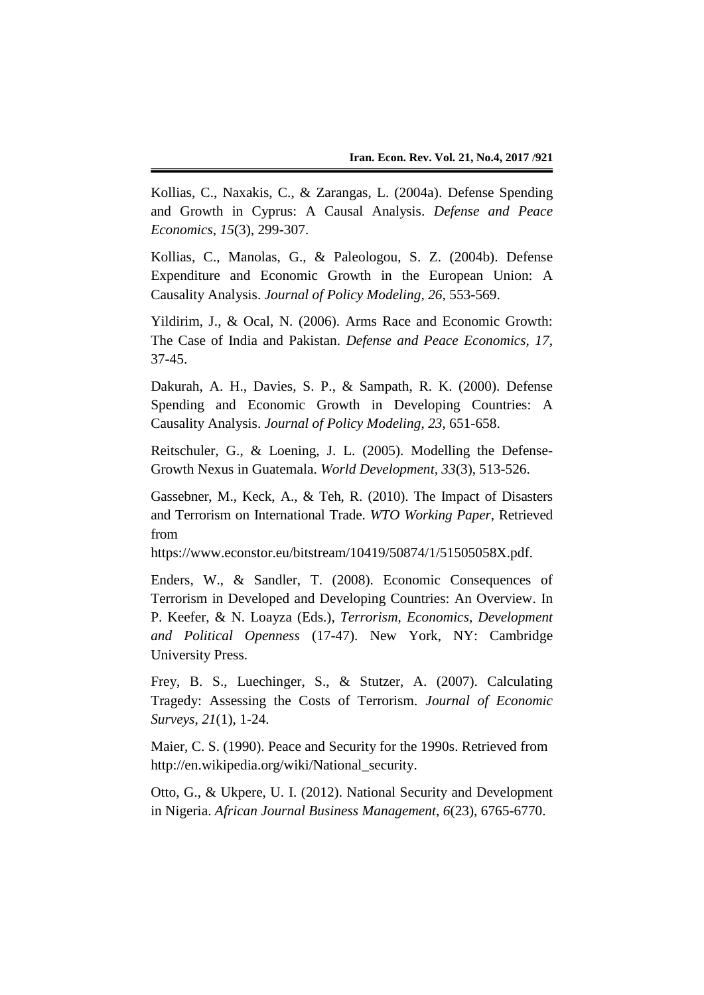Kollias, C., Naxakis, C., & Zarangas, L. (2004a). Defense Spending and Growth in Cyprus: A Causal Analysis. *Defense and Peace Economics*, *15*(3), 299-307.

Kollias, C., Manolas, G., & Paleologou, S. Z. (2004b). Defense Expenditure and Economic Growth in the European Union: A Causality Analysis. *Journal of Policy Modeling*, *26*, 553-569.

Yildirim, J., & Ocal, N. (2006). Arms Race and Economic Growth: The Case of India and Pakistan. *Defense and Peace Economics, 17*, 37-45.

Dakurah, A. H., Davies, S. P., & Sampath, R. K. (2000). Defense Spending and Economic Growth in Developing Countries: A Causality Analysis. *Journal of Policy Modeling*, *23*, 651-658.

Reitschuler, G., & Loening, J. L. (2005). Modelling the Defense-Growth Nexus in Guatemala. *World Development, 33*(3), 513-526.

Gassebner, M., Keck, A., & Teh, R. (2010). The Impact of Disasters and Terrorism on International Trade. *WTO Working Paper*, Retrieved from

https://www.econstor.eu/bitstream/10419/50874/1/51505058X.pdf.

Enders, W., & Sandler, T. (2008). Economic Consequences of Terrorism in Developed and Developing Countries: An Overview. In P. Keefer, & N. Loayza (Eds.), *Terrorism, Economics, Development and Political Openness* (17-47). New York, NY: Cambridge University Press.

Frey, B. S., Luechinger, S., & Stutzer, A. (2007). Calculating Tragedy: Assessing the Costs of Terrorism. *Journal of Economic Surveys*, *21*(1), 1-24.

Maier, C. S. (1990). Peace and Security for the 1990s. Retrieved from http://en.wikipedia.org/wiki/National\_security.

Otto, G., & Ukpere, U. I. (2012). National Security and Development in Nigeria. *African Journal Business Management*, *6*(23), 6765-6770.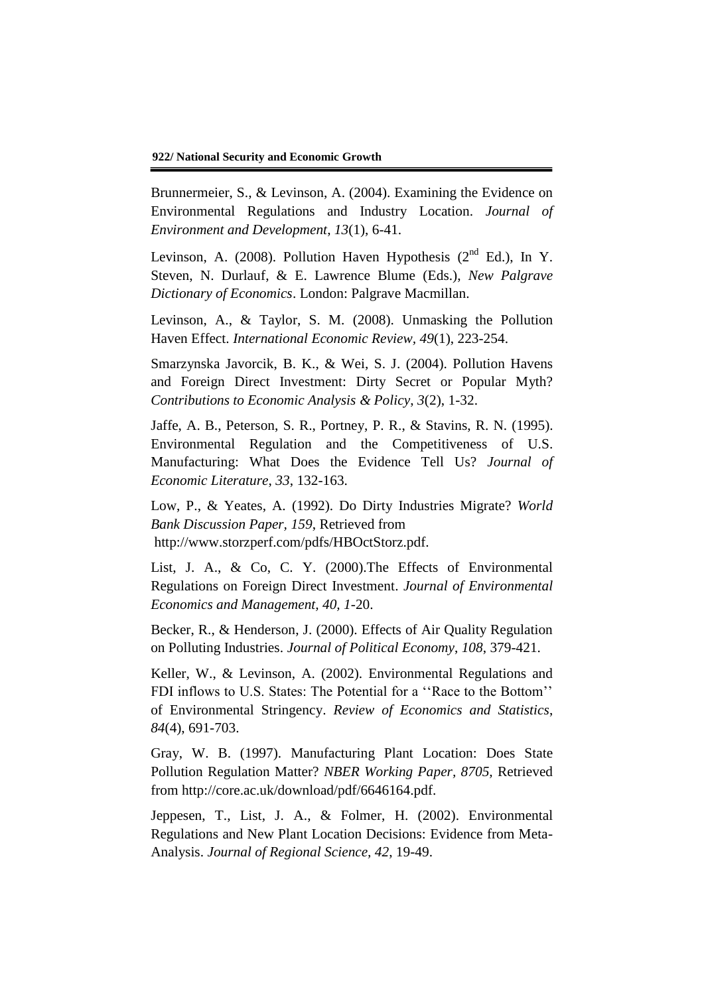Brunnermeier, S., & Levinson, A. (2004). Examining the Evidence on Environmental Regulations and Industry Location. *Journal of Environment and Development*, *13*(1), 6-41.

Levinson, A. (2008). Pollution Haven Hypothesis (2<sup>nd</sup> Ed.), In Y. Steven, N. Durlauf, & E. Lawrence Blume (Eds.), *New Palgrave Dictionary of Economics*. London: Palgrave Macmillan.

Levinson, A., & Taylor, S. M. (2008). Unmasking the Pollution Haven Effect. *International Economic Review, 49*(1), 223-254.

Smarzynska Javorcik, B. K., & Wei, S. J. (2004). Pollution Havens and Foreign Direct Investment: Dirty Secret or Popular Myth? *Contributions to Economic Analysis & Policy*, *3*(2), 1-32.

Jaffe, A. B., Peterson, S. R., Portney, P. R., & Stavins, R. N. (1995). Environmental Regulation and the Competitiveness of U.S. Manufacturing: What Does the Evidence Tell Us? *Journal of Economic Literature*, *33*, 132-163.

Low, P., & Yeates, A. (1992). Do Dirty Industries Migrate? *World Bank Discussion Paper, 159*, Retrieved from http://www.storzperf.com/pdfs/HBOctStorz.pdf.

List, J. A., & Co, C. Y. (2000).The Effects of Environmental Regulations on Foreign Direct Investment. *Journal of Environmental Economics and Management, 40, 1*-20.

Becker, R., & Henderson, J. (2000). Effects of Air Quality Regulation on Polluting Industries. *Journal of Political Economy*, *108*, 379-421.

Keller, W., & Levinson, A. (2002). Environmental Regulations and FDI inflows to U.S. States: The Potential for a ''Race to the Bottom'' of Environmental Stringency. *Review of Economics and Statistics*, *84*(4), 691-703.

Gray, W. B. (1997). Manufacturing Plant Location: Does State Pollution Regulation Matter? *NBER Working Paper, 8705,* Retrieved from http://core.ac.uk/download/pdf/6646164.pdf.

Jeppesen, T., List, J. A., & Folmer, H. (2002). Environmental Regulations and New Plant Location Decisions: Evidence from Meta-Analysis. *Journal of Regional Science, 42*, 19-49.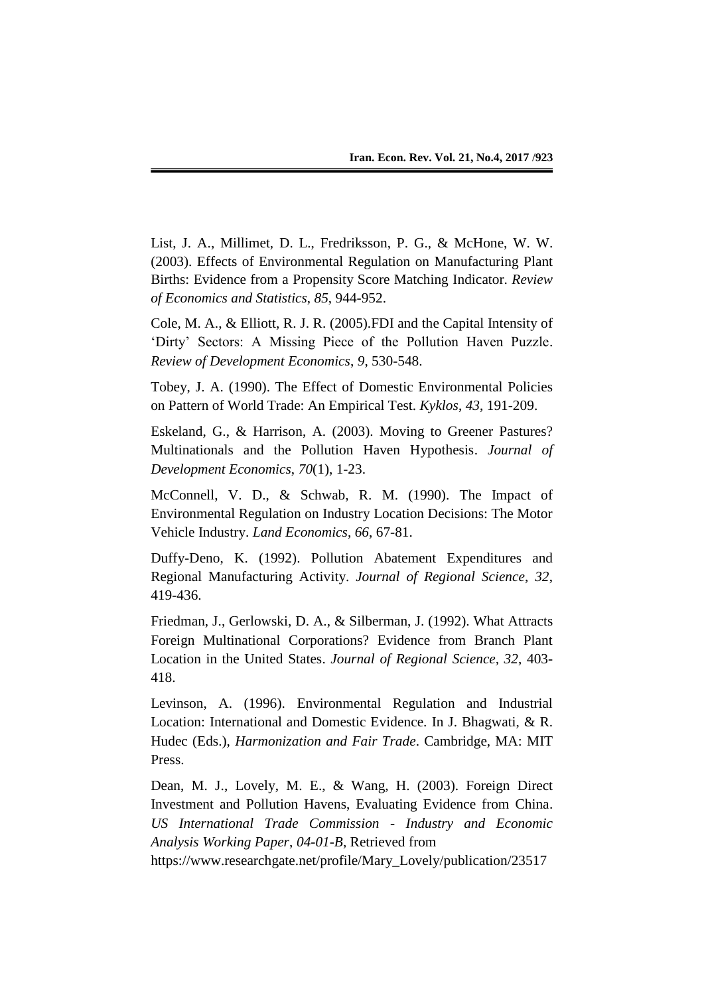List, J. A., Millimet, D. L., Fredriksson, P. G., & McHone, W. W. (2003). Effects of Environmental Regulation on Manufacturing Plant Births: Evidence from a Propensity Score Matching Indicator. *Review of Economics and Statistics*, *85*, 944-952.

Cole, M. A., & Elliott, R. J. R. (2005).FDI and the Capital Intensity of 'Dirty' Sectors: A Missing Piece of the Pollution Haven Puzzle. *Review of Development Economics*, *9*, 530-548.

Tobey, J. A. (1990). The Effect of Domestic Environmental Policies on Pattern of World Trade: An Empirical Test. *Kyklos*, *43*, 191-209.

Eskeland, G., & Harrison, A. (2003). Moving to Greener Pastures? Multinationals and the Pollution Haven Hypothesis. *Journal of Development Economics*, *70*(1), 1-23.

McConnell, V. D., & Schwab, R. M. (1990). The Impact of Environmental Regulation on Industry Location Decisions: The Motor Vehicle Industry. *Land Economics*, *66*, 67-81.

Duffy-Deno, K. (1992). Pollution Abatement Expenditures and Regional Manufacturing Activity. *Journal of Regional Science*, *32*, 419-436.

Friedman, J., Gerlowski, D. A., & Silberman, J. (1992). What Attracts Foreign Multinational Corporations? Evidence from Branch Plant Location in the United States. *Journal of Regional Science, 32*, 403- 418.

Levinson, A. (1996). Environmental Regulation and Industrial Location: International and Domestic Evidence. In J. Bhagwati, & R. Hudec (Eds.), *Harmonization and Fair Trade*. Cambridge, MA: MIT Press.

Dean, M. J., Lovely, M. E., & Wang, H. (2003). Foreign Direct Investment and Pollution Havens, Evaluating Evidence from China. *US International Trade Commission - Industry and Economic Analysis Working Paper*, *04-01-B*, Retrieved from

https://www.researchgate.net/profile/Mary\_Lovely/publication/23517